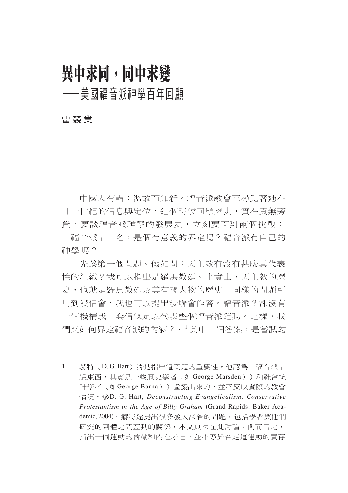# 異中求同,同中求變

## ——美國福音派神學百年回顧

#### 雷競業

中國人有謂:溫故而知新。福音派教會正尋覓著她在 廿一世紀的信息與定位,這個時候回顧歷史,實在責無旁 貸。要談福音派神學的發展史,立刻要面對兩個挑戰: 「福音派」一名,是個有意義的界定嗎?福音派有自己的 神學嗎?

先談第一個問題。假如問:天主教有沒有甚麼具代表 性的組織?我可以指出是羅馬教廷。事實上,天主教的歷 史,也就是羅馬教廷及其有關人物的歷史。同樣的問題引 用到浸信會,我也可以提出浸聯會作答。福音派?卻沒有 一個機構或一套信條足以代表整個福音派運動。這樣,我 們又如何界定福音派的內涵?。 其中一個答案,是嘗試勾

<sup>1</sup> 赫特 (D.G. Hart) 清楚指出這間題的重要性。他認為「福音派」 這東西,其實是一些歷史學者 (如George Marsden))和社會統 計學者 (如George Barna)) 虛擬出來的,並不反映實際的教會 情況。參D. G. Hart, *Deconstructing Evangelicalism: Conservative Protestantism in the Age of Billy Graham* (Grand Rapids: Baker Academic, 2004)。赫特還提出很多發人深省的問題, 包括學者與他們 研究的團體之間互動的關係,本文無法在此討論。簡而言之, 指出一個運動的含糊和內在矛盾,並不等於否定這運動的實存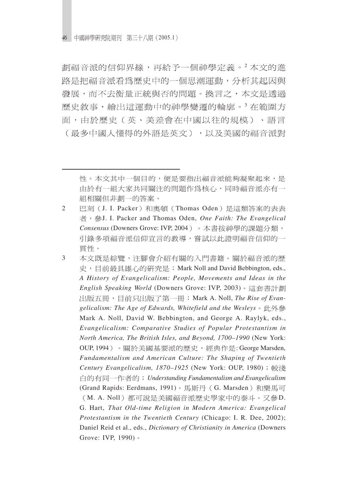劃福音派的信仰界線,再給予一個神學定義。2本文的進 路是把福音派看為歷史中的一個思潮運動,分析其起因與 發展,而不去衡量正統與否的問題。換言之,本文是透過 歷史敘事,繪出這運動中的神學變遷的輪廓。<sup>3</sup>在範圍方 面,由於歷史(英、美差會在中國以往的規模)、語言 (最多中國人懂得的外語是英文),以及美國的福音派對

- 2 巴刻(J. I. Packer)和奧頓(Thomas Oden)是這類答案的表表 者, 參J. I. Packer and Thomas Oden, One Faith: The Evangelical Consensus (Downers Grove: IVP, 2004) 。本書按神學的課題分類, 引錄多項福音派信仰宣言的教導,嘗試以此證明福音信仰的一 貫性。
- 3 本文既是綜覽,注腳會介紹有關的入門書籍。關於福音派的歷 史, 目前最具雄心的研究是: Mark Noll and David Bebbington, eds., *A History of Evangelicalism: People, Movements and Ideas in the English Speaking World* (Downers Grove: IVP, 2003) **H版五冊, 目前只出版了第一冊: Mark A. Noll, The Rise of Evan***gelicalism: The Age of Edwards, Whitefield and the Wesleys* Mark A. Noll, David W. Bebbington, and George A. Raylyk, eds., *Evangelicalism: Comparative Studies of Popular Protestantism in North America, The British Isles, and Beyond, 1700–1990* (New York: OUP, 1994)。關於美國基要派的歷史,經典作是: George Marsden, *Fundamentalism and American Culture: The Shaping of Twentieth Century Evangelicalism, 1870–1925* (New York: OUP, 1980) *Understanding Fundamentalism and Evangelicalism* (Grand Rapids: Eerdmans, 1991)。馬斯丹 (G. Marsden)和樂馬可 (M. A. Noll) 都可說是美國福音派歷史學家中的泰斗。又參D. G. Hart, *That Old-time Religion in Modern America: Evangelical Protestantism in the Twentieth Century* (Chicago: I. R. Dee, 2002); Daniel Reid et al., eds., *Dictionary of Christianity in America* (Downers Grove: IVP, 1990) 。

性。本文其中一個目的,便是要指出福音派能夠凝聚起來,是 由於有一組大家共同關注的問題作爲核心,同時福音派亦有一 組相關但非劃一的答案。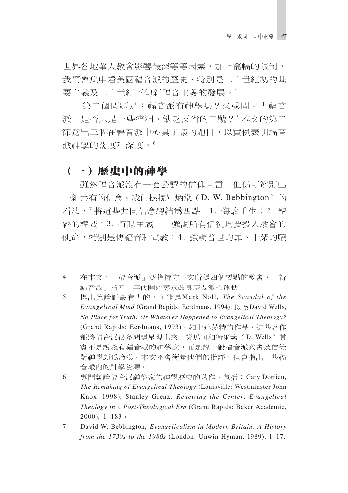世界各地華人教會影響最深等等因素,加上篇幅的限制, 我們會集中看美國福音派的歷史,特別是二十世紀初的基 要主義及二十世紀下旬新福音主義的發展。4

第二個問題是:福音派有神學嗎?又或問:「福音 派」是否只是一些空洞、缺乏反省的口號?5本文的第二 節選出三個在福音派中極具爭議的題目,以實例表明福音 派神學的闊度和深度。6

### (一) 歷史中的神學

雖然福音派沒有一套公認的信仰宣言,但仍可辨別出 一組共有的信念。我們根據畢炳棠(D. W. Bebbington)的 看法, <sup>7</sup> 將這些共同信念總結為四點: 1. 悔改重生; 2. 聖 經的權威;3. 行動主義——強調所有信徒均要投入教會的 使命,特別是傳福音和宣教;4. 強調普世的罪、十架的贖

在本文,「福音派」泛指持守下文所提四個要點的教會,「新 4 福音派」指五十年代開始尋求改良基要派的渾動。

<sup>5</sup> 提出此論點最有力的,可能是Mark Noll, The Scandal of the *Evangelical Mind* (Grand Rapids: Eerdmans, 1994); 以及David Wells, *No Place for Truth: Or Whatever Happened to Evangelical Theology?* (Grand Rapids: Eerdmans, 1993)。如上述赫特的作品,這些著作 都將福音派很多問題呈現出來。樂馬可和衛爾素(D. Wells)其 實不是說沒有福音派的神學家,而是說一般福音派教會及信徒 對神學頗爲冷漠。本文不會衡量他們的批評,但會指出一些福 音派內的神學資源。

<sup>6</sup> 專門談論福音派神學家的神學歷史的著作,包括: Gary Dorrien, *The Remaking of Evangelical Theology* (Louisville: Westminster John Knox, 1998); Stanley Grenz, *Renewing the Center: Evangelical Theology in a Post-Theological Era* (Grand Rapids: Baker Academic, 2000),  $1-183$ 

<sup>7</sup> David W. Bebbington, *Evangelicalism in Modern Britain: A History from the 1730s to the 1980s* (London: Unwin Hyman, 1989), 1–17.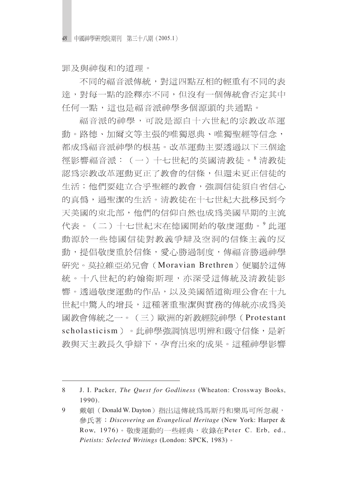罪及與神復和的道理。

不同的福音派傳統, 對這四點万相的輕重有不同的表 達,對每一點的詮釋亦不同,但沒有一個傳統會否定其中 任何一點,這也是福音派神學多個源頭的共通點。

福音派的神學,可說是源自十六世紀的宗教改革運 動。路德、加爾文等主張的唯獨恩典、唯獨聖經等信念, 都成爲福音派神學的根基。改革運動主要透過以下三個途 徑影響福音派:(一)十七世紀的英國清教徒。8清教徒 認為宗教改革運動更正了教會的信條,但還未更正信徒的 生活;他們要建立合乎聖經的教會,強調信徒須自省信心 的真僞,過聖潔的生活。清教徒在十七世紀大批移民到今 天美國的東北部,他們的信仰自然也成爲美國早期的主流 代表。(二)十七世紀末在德國開始的敬虔運動。9此運 動源於一些德國信徒對教義爭辯及空洞的信條主義的反 動,提倡敬虔重於信條,愛心勝過制度,傳福音勝過神學 研究。莫拉維亞弟兄會 (Moravian Brethren) 便屬於這傳 統。十八世紀的約翰衛斯理,亦深受這傳統及清教徒影 響。透過敬虔運動的作品,以及美國循道衛理公會在十九 世紀中驚人的增長,這種著重聖潔與實務的傳統亦成爲美 國教會傳統之一。(三)歐洲的新教經院神學(Protestant scholasticism)。此神學強調慎思明辨和嚴守信條,是新 教與天主教長久爭辯下,孕育出來的成果。這種神學影響

<sup>8</sup> J. I. Packer, *The Quest for Godliness* (Wheaton: Crossway Books, 1990).

<sup>9</sup> 戴頓(Donald W. Dayton) 指出這傳統為馬斯丹和樂馬可所忽視, *Discovering an Evangelical Heritage* (New York: Harper & Row, 1976)。敬虔運動的一些經典,收錄在Peter C. Erb, ed., *Pietists: Selected Writings* (London: SPCK, 1983)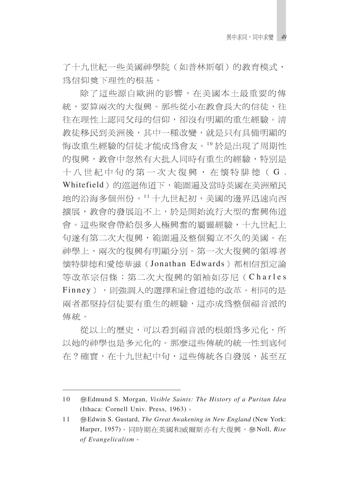了十九世紀一些美國神學院(如普林斯頓)的教育模式, 爲信仰奠下理性的根基。

除了這些源自歐洲的影響,在美國本土最重要的傳 統,要算兩次的大復興。那些從小在教會長大的信徒,往 往在理性上認同父母的信仰,卻沒有明顯的重生經驗。清 教徒移民到美洲後,其中一種改變,就是只有具備明顯的 悔改重生經驗的信徒才能成爲會友。10於是出現了周期性 的復興,教會中忽然有大批人同時有重生的經驗,特別是 十八世紀中旬的第一次大復興, 在懷特腓德(G. Whitefield)的巡迴佈道下,範圍漏及當時英國在美洲殖民 地的沿海多個州份。11十九世紀初,美國的邊界迅速向西 擴展,教會的發展追不上,於是開始流行大型的奮興佈道 會。這些聚會帶給很多人極興奮的屬靈經驗,十九世紀上 旬遂有第二次大復興,範圍遍及整個獨立不久的美國。在 神學上,兩次的復興有明顯分別。第一次大復興的領導者 懷特腓德和愛德華滋 (Jonathan Edwards) 都相信預定論 等改革宗信條;第二次大復興的領袖如芬尼(Charles Finney),則強調人的選擇和社會道德的改革。相同的是 兩者都堅持信徒要有重生的經驗,這亦成為整個福音派的 傳統。

從以上的歷史,可以看到福音派的根頗為多元化,所 以她的神學也是多元化的。那麼這些傳統的統一性到底何 在?確實,在十九世紀中旬,這些傳統各自發展,甚至互

<sup>10</sup> Edmund S. Morgan, *Visible Saints: The History of a Puritan Idea* (Ithaca: Cornell Univ. Press, 1963)

<sup>11</sup> Edwin S. Gustard, *The Great Awakening in New England* (New York: Harper, 1957)。同時期在英國和威爾斯亦有大復興,參Noll, Rise *of Evangelicalism*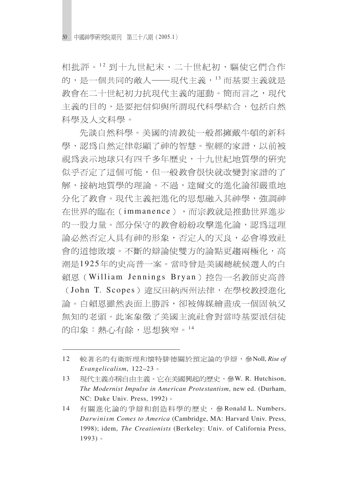相批評。12 到十九世紀末、二十世紀初,驅使它們合作 的,是一個共同的敵人——現代主義,13而基要主義就是 教會在二十世紀初力抗現代主義的運動。簡而言之,現代 主義的目的,是要把信仰與所謂現代科學結合,包括自然 科學及人文科學。

先談白然科學。美國的淸教徒一般都擁戴牛頓的新科 學,認為自然定律彰顯了神的智慧。聖經的家譜,以前被 視為表示地球只有四千多年歷史,十九世紀地質學的研究 似乎否定了這個可能,但一般教會很快就改變對家譜的了 解,接納地質學的理論。不過,達爾文的進化論卻嚴重地 分化了教會。現代主義把進化的思想融入其神學,強調神 在世界的臨在(immanence),而宗教就是推動世界進步 的一股力量。部分保守的教會紛紛攻擊進化論,認爲這理 論必然否定人具有神的形象,否定人的天良,必會導致社 會的道德敗壞。不斷的辯論使雙方的論點更趨兩極化,高 潮是1925年的史高普一案。當時曾是美國總統候選人的白 賴恩(William Jennings Bryan)控告一名教師史高普 (John T. Scopes) 違反田納西州法律,在學校教授進化 論。白賴恩雖然表面上勝訴,卻被傳媒繪書成一個固執又 無知的老頭。此案象徵了美國主流社會對當時基要派信徒 的印象:熱心有餘,思想狹窄。14

13 現代主義亦稱自由主義。它在美國興起的歷史,參W. R. Hutchison, *The Modernist Impulse in American Protestantism*, new ed. (Durham, NC: Duke Univ. Press, 1992)  $\circ$ 

<sup>12</sup> 較著名的有衛斯理和懷特腓德關於預定論的爭辯,參Noll, Rise of *Evangelicalism*, 122–23

<sup>14</sup> 有關淮化論的爭辯和創浩科學的歷史,參Ronald L. Numbers, *Darwinism Comes to America* (Cambridge, MA: Harvard Univ. Press, 1998); idem, *The Creationists* (Berkeley: Univ. of California Press, 1993)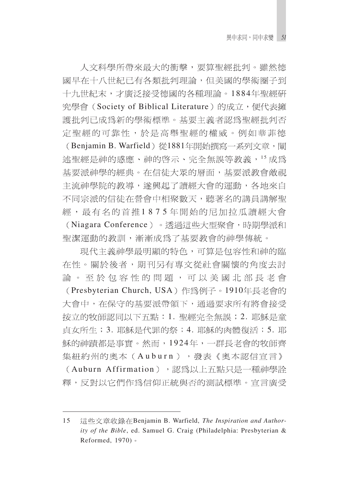人文科學所帶來最大的衝擊,要算聖經批判。雖然德 國早在十八世紀已有各類批判理論,但美國的學術圈子到 十九世紀末,才廣泛接受德國的各種理論。1884年聖經研 究學會(Society of Biblical Literature)的成立, 便代表擁 護批判已成為新的學術標準。基要主義者認爲聖經批判否 定聖經的可靠性,於是高舉聖經的權威。例如華菲德

(Benjamin B. Warfield) 從1881年開始撰寫一系列文章, 闡 述聖經是神的感應、神的啓示、完全無誤等教義,<sup>15</sup>成爲 基要派神學的經典。在信徒大眾的層面,基要派教會敵視 主流神學院的教導, 遂興起了讀經大會的運動, 各地來自 不同宗派的信徒在營會中相聚數天,聽著名的講員講解聖 經,最有名的首推1875年開始的尼加拉瓜讀經大會 (Niagara Conference)。透過這些大型聚會,時期學派和 聖潔運動的教訓,漸漸成爲了基要教會的神學傳統。

現代主義神學最明顯的特色,可算是包容性和神的臨 在性。關於後者,期刊另有專文從社會關懷的角度去討 論。至於包容性的問題,可以美國北部長老會 (Presbyterian Church, USA)作為例子。1910年長老會的 大會中,在保守的基要派帶領下,通過要求所有將會接受 按立的牧師認同以下五點:1. 聖經完全無誤;2. 耶穌是童 貞女所生;3. 耶穌是代罪的祭;4. 耶穌的肉體復活;5. 耶 穌的神蹟都是事實。然而,1924年,一群長老會的牧師齊 集紐約州的奧本(Auburn),發表《奧本認信宣言》 (Auburn Affirmation),認為以上五點只是一種神學詮 釋,反對以它們作爲信仰正統與否的測試標準。宣言廣受

<sup>15</sup> 這些文章收錄在Benjamin B. Warfield, *The Inspiration and Authority of the Bible*, ed. Samuel G. Craig (Philadelphia: Presbyterian & Reformed, 1970)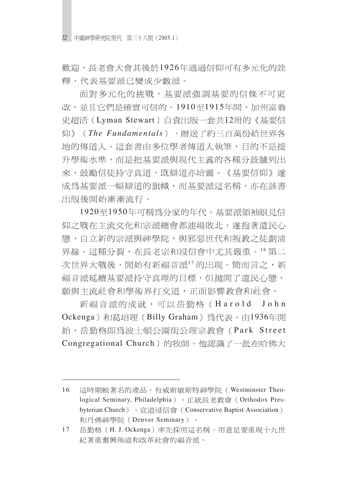歡迎,長老會大會其後於1926年涌過信仰可有多元化的詮 釋,代表基要派已變成少數派。

面對多元化的挑戰,基要派強調基要的信條不可更 改,並且它們是確實可信的。1910至1915年間,加州富翁 史超活(Lyman Stewart)自資出版一套共12冊的《基要信 仰》(The Fundamentals), 贈送了約三百萬份給世界各 地的傳道人。這套書由多位學者傳道人執筆,目的不是提 升學術水準,而是把基要派與現代主義的各種分歧臚列出 來,鼓勵信徒持守真道,既辯道亦培靈。《基要信仰》遂 成為基要派一幅辯道的旗幟,而基要派這名稱,亦在該書 出版後開始漸漸流行。

1920至1950年可稱為分家的年代。基要派領袖眼見信 仰之戰在主流文化和宗派總會都連場敗北,遂抱著潰民心 態,自立新的宗派與神學院,與邪惡世代和叛教之徒劃清 界線。這種分裂,在長老宗和浸信會中尤其嚴重。16第二 次世界大戰後,開始有新福音派17的出現。簡而言之,新 福音派延續基要派持守真理的目標,但拋開了遺民心態, 願與主流社會和學術界打交道,正面影響教會和社會。

新福音派的成就,可以岳勤格(Harold John Ockenga)和葛培理 (Billy Graham) 為代表。由1936年開 始,岳勤格即為波士頓公園街公理宗教會(Park Street Congregational Church)的牧師。他認識了一批在哈佛大

<sup>16</sup> 這時期較著名的產品,有威斯敏斯特神學院(Westminster Theological Seminary, Philadelphia)、正統長老教會 (Orthodox Presbyterian Church) 、 官道浸信會 (Conservative Baptist Association) 和丹佛神學院 (Denver Seminary) 。

<sup>17</sup> 岳勤格 (H. J. Ockenga) 率先採用這名稱,用意是要重現十九世 紀著重奮興佈道和改革社會的福音派。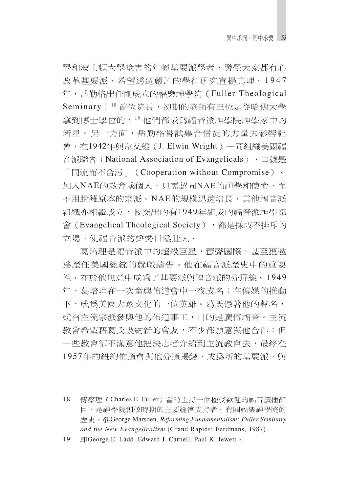學和波十頓大學唸書的年輕基要派學者,發覺大家都有心 改革基要派,希望透過嚴謹的學術研究宣揚真理。1947 年,岳勤格出任剛成立的福樂神學院(Fuller Theological Seminary)<sup>18</sup>首位院長,初期的老師有三位是從哈佛大學 拿到博士學位的,19他們都成爲福音派神學院神學家中的 新星。另一方面,岳勤格嘗試集合信徒的力量去影響社 會, 在1942年與韋艾維 (J. Elwin Wright) 一同組織美國福 音派聯會 (National Association of Evangelicals), 口號是 「同流而不合污」(Cooperation without Compromise)。 加入NAE的教會或個人,只需認同NAE的神學和使命,而 不用脫離原本的宗派。NAE的規模迅速增長,其他福音派 組織亦相繼成立,較突出的有1949年組成的福音派神學協 會(Evangelical Theological Society),都是採取不排斥的 立場,使福音派的聲勢日益壯大。

葛培理是福音派中的超級巨星,蜚聲國際,甚至獲邀 爲歷任美國總統的就職禱告。他在福音派歷史中的重要 性,在於他無意中成爲了基要派與福音派的分野線。1949 年,葛培理在一次奮興佈道會中一夜成名;在傳媒的推動 下,成爲美國大眾文化的一位英雄。葛氏憑著他的聲名, 號召主流宗派參與他的佈道事工,目的是廣傳福音。主流 教會希望藉葛氏吸納新的會友,不少都願意與他合作;但 一些教會卻不滿意他把決志者介紹到主流教會去,最終在 1957年的紐約佈道會與他分道揚鑣,成為新的基要派,與

<sup>18</sup> 傅察理 (Charles E. Fuller) 當時主持一個極受歡迎的福音廣播節 目,是神學院創校時期的主要經濟支持者。有關福樂神學院的 歷史, 參George Marsden, *Reforming Fundamentalism: Fuller Seminary and the New Evangelicalism* (Grand Rapids: Eerdmans, 1987)

<sup>19</sup> Ell George E. Ladd, Edward J. Carnell, Paul K. Jewett .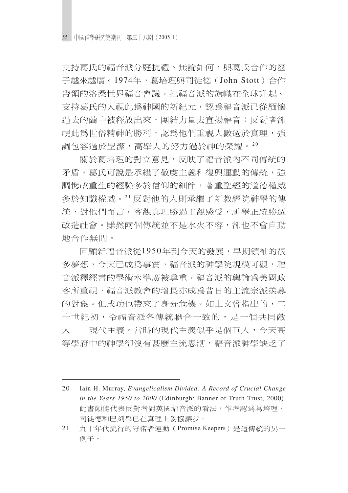支持葛氏的福音派分庭抗禮。無論如何,與葛氏合作的圈 子越來越廣。1974年,葛培理與司徒德(John Stott)合作 帶領的洛桑世界福音會議,把福音派的旗幟在全球升起。 支持葛氏的人視此為神國的新紀元,認為福音派已從緬懷 過去的繭中被釋放出來, 團結力量去宣揚福音; 反對者卻 視此為世俗精神的勝利,認爲他們重視人數過於真理,強 調包容過於聖潔,高舉人的努力過於神的榮耀。20

關於葛培理的對立意見,反映了福音派內不同傳統的 矛盾。葛氏可說是承繼了敬虔主義和復興運動的傳統,強 調悔改重生的經驗多於信仰的細節,著重聖經的道德權威 多於知識權威。21反對他的人則承繼了新教經院神學的傳 統,對他們而言,客觀真理勝過主觀感受,神學正統勝過 改造社會。雖然兩個傳統並不是水火不容,卻也不會自動 地合作無間。

回顧新福音派從1950年到今天的發展,早期領袖的很 多夢想,今天已成爲事實。福音派的神學院規模可觀,福 音派釋經書的學術水準廣被尊重,福音派的輿論爲美國政 客所重視,福音派教會的增長亦成為昔日的主流宗派羨慕 的對象。但成功也帶來了身分危機。如上文曾指出的,二 十世紀初,令福音派各傳統聯合一致的,是一個共同敵 人——現代主義。當時的現代主義似乎是個百人,今天高 等學府中的神學卻沒有甚麼主流思潮,福音派神學缺乏了

<sup>20</sup> Iain H. Murray, *Evangelicalism Divided: A Record of Crucial Change in the Years 1950 to 2000* (Edinburgh: Banner of Truth Trust, 2000). 此書頗能代表反對者對英國福音派的看法,作者認爲葛培理、 司徒德和巴刻都已在真理上妥協讓步。

<sup>21</sup> 九十年代流行的守諾者運動 (Promise Keepers) 是這傳統的另一 例子。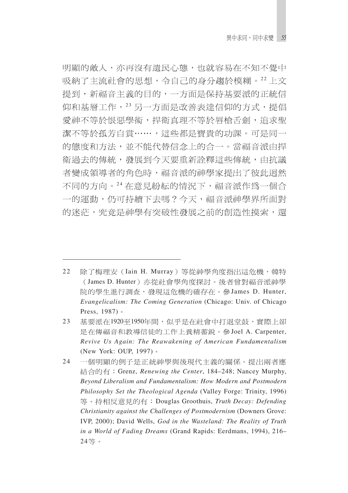明顯的敵人,亦再沒有潰民心態,也就容易在不知不覺中 吸納了主流社會的思想,令自己的身分趨於模糊。22上文 提到,新福音主義的目的,一方面是保持基要派的正統信 仰和基層工作, 23 另一方面是改善表達信仰的方式, 提倡 愛神不等於恨惡學術,捍衛真理不等於唇槍舌劍,追求聖 潔不等於孤芳自賞……,這些都是寶貴的功課。可是同一 的熊度和方法,並不能代替信念上的合一。當福音派由捍 衛過去的傳統,發展到今天要重新詮釋這些傳統,由抗議 者變成領導者的角色時,福音派的神學家提出了彼此迥然 不同的方向。24 在意見紛紜的情況下,福音派作爲一個合 一的運動,仍可持續下去嗎?今天,福音派神學界所面對 的迷茫,究竟是神學有突破性發展之前的創造性摸索,還

<sup>22</sup> 除了梅理安 (Iain H. Murray) 等從神學角度指出這危機, 韓特 (James D. Hunter) 亦從社會學角度探討。後者曾對福音派神學 院的學生進行調查,發現這危機的確存在。參James D. Hunter, *Evangelicalism: The Coming Generation* (Chicago: Univ. of Chicago Press, 1987) 。

<sup>23</sup> 基要派在1920至1950年間,似乎是在社會中打退堂鼓,實際上卻 是在傳福音和教導信徒的工作上養精蓄銳。參Joel A. Carpenter, *Revive Us Again: The Reawakening of American Fundamentalism* (New York: OUP, 1997)

<sup>24</sup> 一個明顯的例子是正統神學與後現代主義的關係。提出兩者應 結合的有: Grenz, *Renewing the Center*, 184-248; Nancey Murphy, *Beyond Liberalism and Fundamentalism: How Modern and Postmodern Philosophy Set the Theological Agenda* (Valley Forge: Trinity, 1996) 等。持相反意見的有: Douglas Groothuis, *Truth Decay: Defending Christianity against the Challenges of Postmodernism* (Downers Grove: IVP, 2000); David Wells, *God in the Wasteland: The Reality of Truth in a World of Fading Dreams* (Grand Rapids: Eerdmans, 1994), 216– 24等。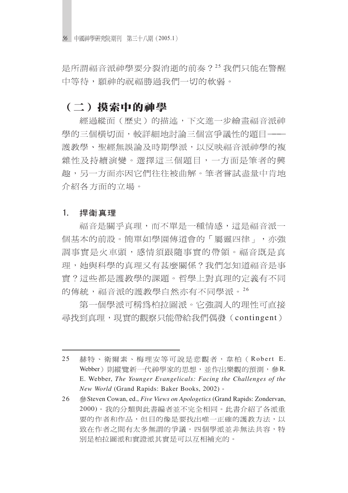56 中國神學研究院期刊 第三十八期 (2005.1)

是所謂福音派神學要分裂消逝的前奏?25我們只能在警醒 中等待,願神的祝福勝過我們一切的軟弱。

### (二)摸索中的神學

經過縱面(歷史)的描述,下文進一步繪畫福音派神 學的三個橫切面,較詳細地討論三個富爭議性的題目––– 護教學、聖經無誤論及時期學派,以反映福音派神學的複 雜性及持續演變。選擇這三個題目,一方面是筆者的興 趣,另一方面亦因它們往往被曲解。筆者嘗試盡量中肯地 介紹各方面的立場。

#### 1. 捍衛真理

福音是關乎真理,而不單是一種情感,這是福音派一 個基本的前設。簡單如學園傳道會的「屬靈四律」,亦強 調事實是火車頭,感情須跟隨事實的帶領。福音既是真 理,她與科學的真理又有甚麼關係?我們怎知道福音是事 實?這些都是護教學的課題。哲學上對真理的定義有不同 的傳統,福音派的護教學自然亦有不同學派。26

第一個學派可稱爲柏拉圖派。它強調人的理性可直接 尋找到真理,現實的觀察只能帶給我們偶發(contingent)

<sup>25</sup> 赫特、衛爾素、梅理安等可說是悲觀者,韋柏(Robert E. Webber)則縱覽新一代神學家的思想,並作出樂觀的預測,參R. E. Webber, *The Younger Evangelicals: Facing the Challenges of the New World* (Grand Rapids: Baker Books, 2002)

<sup>26</sup> Steven Cowan, ed., *Five Views on Apologetics* (Grand Rapids: Zondervan, 2000)。我的分類與此書編者並不完全相同。此書介紹了各派重 要的作者和作品,但目的像是要找出唯一正確的護教方法,以 致在作者之間有太多無謂的爭議。四個學派並非無法共容,特 別是柏拉圖派和實證派其實是可以互相補充的。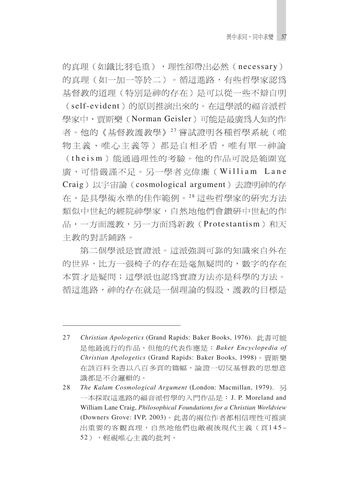的真理(如鐵比羽毛重),理性卻帶出必然(necessary) 的真理(如一加一等於二)。循這進路,有些哲學家認爲 基督教的道理 (特別是神的存在) 是可以從一些不辯自明 (self-evident)的原則推演出來的。在這學派的福音派哲 學家中, 曹斯樂 (Norman Geisler) 可能是最廣為人知的作 者。他的《基督教護教學》27 嘗試證明各種哲學系統(唯 物主義、唯心主義等)都是自相矛盾,唯有單一神論 (theism)能涌過理性的考驗。他的作品可說是範圍寬 廣,可惜嚴謹不足。另一學者克偉廉(William Lane Craig)以宇宙論 (cosmological argument) 去證明神的存 在,是具學術水準的佳作範例。28 這些哲學家的研究方法 類似中世紀的經院神學家,自然地他們會鑽研中世紀的作 品,一方面護教,另一方面為新教(Protestantism)和天 主教的對話鋪路。

第二個學派是實證派。這派強調可靠的知識來自外在 的世界,比方一張椅子的存在是毫無疑問的,數字的存在 本質才是疑問;這學派也認爲實證方法亦是科學的方法。 循這進路,神的存在就是一個理論的假設,護教的目標是

<sup>27</sup> *Christian Apologetics* (Grand Rapids: Baker Books, 1976). *Baker Encyclopedia of Christian Apologetics* (Grand Rapids: Baker Books, 1998) 在該百科全書以八百多頁的篇幅,論證一切反基督教的思想意 識都是不合邏輯的。

<sup>28</sup> *The Kalam Cosmological Argument* (London: Macmillan, 1979). 一本採取這進路的福音派哲學的入門作品是: J. P. Moreland and William Lane Craig, *Philosophical Foundations for a Christian Worldview* (Downers Grove: IVP, 2003)。此書的兩位作者都相信理性可推演 出重要的客觀真理,自然地他們也敵視後現代主義(頁145-52),輕視唯心主義的批判。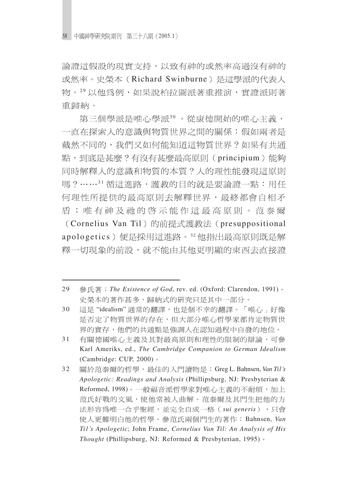論證這假設的現實支持,以致有神的或然率高過沒有神的 或然率。史榮本(Richard Swinburne)是這學派的代表人 物。29以他爲例,如果說柏拉圖派著重推演,實證派則著 重歸納。

第三個學派是唯心學派30。從康德開始的唯心主義, 一直在探索人的意識與物質世界之間的關係:假如兩者是 截然不同的,我們又如何能知道這物質世界?如果有共涌 點, 到底是甚麼?有沒有甚麼最高原則(principium)能夠 同時解釋人的意識和物質的本質?人的理性能發現這原則 嗎?……31 循這進路,護教的目的就是要論證一點:用任 何理性所提供的最高原則去解釋世界,最終都會自相矛 盾;唯有神及祂的啓示能作這最高原則。范泰爾 (Cornelius Van Til) 的前提式護教法 (presuppositional apologetics)便是採用這進路。32他指出最高原則既是解 釋一切現象的前設,就不能由其他更明顯的東西去直接證

- 30 這是"idealism"通常的翻譯,也是個不幸的翻譯。「唯心」好像 是否定了物質世界的存在,但大部分唯心哲學家都肯定物質世 界的實存,他們的共通點是強調人在認知過程中自發的地位。
- 31 有關德國唯心主義及其對最高原則和理性的限制的辯論,可參 Karl Ameriks, ed., *The Cambridge Companion to German Idealism* (Cambridge: CUP, 2000)
- 32 Greg L. Bahnsen, *Van Til's Apologetic: Readings and Analysis* (Phillipsburg, NJ: Presbyterian & Reformed, 1998)。一般福音派哲學家對唯心主義的不耐煩, 加上 范氏好戰的文風,使他常被人曲解。范泰爾及其門生把他的方 法形容為唯一合乎聖經,並完全自成一格 (sui generis),只會 使人更難明白他的哲學。參范氏兩個門生的著作: Bahnsen, Van *Til's Apologetic*; John Frame, *Cornelius Van Til: An Analysis of His Thought* (Phillipsburg, NJ: Reformed & Presbyterian, 1995)

<sup>29</sup> 參氏著: The Existence of God, rev. ed. (Oxford: Clarendon, 1991)。 史榮本的著作甚多,歸納式的研究只是其中一部分。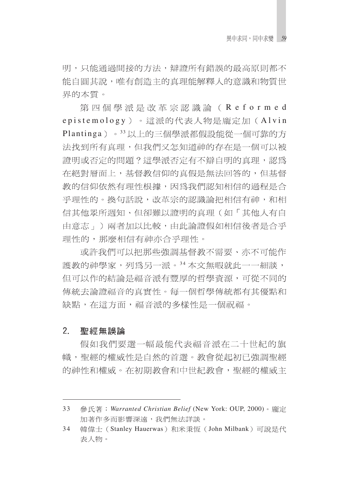明,只能涌渦間接的方法,辯證所有錯誤的最高原則都不 能白圓其說,唯有創浩主的真理能解釋人的意識和物質世 界的本質。

第四個學派是改革宗認識論(Reformed epistemology)。這派的代表人物是龐定加(Alvin Plantinga)。33以上的三個學派都假設能從一個可靠的方 法找到所有真理,但我們又怎知道神的存在是一個可以被 證明或否定的問題?這學派否定有不辯自明的真理,認為 在絕對層面上,基督教信仰的真假是無法回答的,但基督 教的信仰依然有理性根據,因為我們認知相信的過程是合 乎理性的。換句話說,改革宗的認識論把相信有神,和相 信其他眾所週知、但卻難以證明的真理(如「其他人有自 由意志 」)兩者加以比較,由此論證假如相信後者是合乎 理性的,那麼相信有神亦合乎理性。

或許我們可以把那些強調基督教不需要、亦不可能作 護教的神學家,列為另一派。34本文無暇就此一一細談, 但可以作的結論是福音派有豐厚的哲學資源,可從不同的 傳統去論證福音的真實性。每一個哲學傳統都有其優點和 缺點,在這方面,福音派的多樣性是一個祝福。

#### $2<sub>1</sub>$ 聖經無誤論

假如我們要選一幅最能代表福音派在二十世紀的旗 幟,聖經的權威性是自然的首選。教會從起初已強調聖經 的神性和權威。在初期教會和中世紀教會,聖經的權威主

<sup>33</sup> *Warranted Christian Belief* (New York: OUP, 2000) 加著作多而影響深遠,我們無法詳談。

<sup>34</sup> 韓偉士 (Stanley Hauerwas)和米秉恆 (John Milbank) 可說是代 表人物。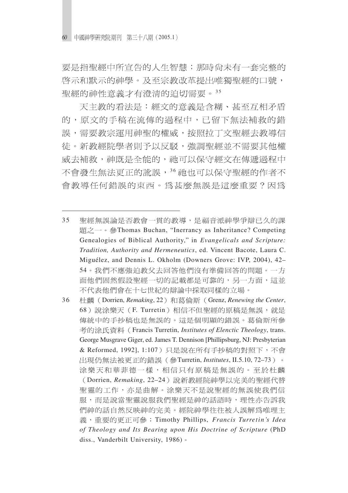要是指聖經中所宣告的人生智慧;那時尙未有一套完整的 啓示和默示的神學。及至宗教改革提出唯獨聖經的口號, 聖經的神性意義才有澄清的迫切需要。35

天主教的看法是:經文的意義是含糊、甚至互相矛盾 的,原文的手稿在流傳的過程中,已留下無法補救的錯 誤,需要教宗運用神聖的權威,按照拉丁文聖經去教導信 徒。新教經院學者則予以反駁,強調聖經並不需要其他權 威去補救,神既是全能的,祂可以保守經文在傳遞過程中 不會發生無法更正的訛誤,36 祂也可以保守聖經的作者不 會教導任何錯誤的東西。爲甚麼無誤是這麼重要?因爲

<sup>35</sup> 聖經無誤論是否教會一貫的教導,是福音派神學爭辯已久的課 題之一。參Thomas Buchan, "Inerrancy as Inheritance? Competing Genealogies of Biblical Authority," in *Evangelicals and Scripture: Tradition, Authority and Hermeneutics*, ed. Vincent Bacote, Laura C. Miguélez, and Dennis L. Okholm (Downers Grove: IVP, 2004), 42– 54。我們不應強迫教父去回答他們沒有準備回答的問題。一方 面他們固然假設聖經一切的記載都是可靠的,另一方面,這並 不代表他們會在十七世紀的辯論中採取同樣的立場。

<sup>36</sup> 杜麟 (Dorrien, Remaking, 22) 和葛倫斯 (Grenz, Renewing the Center, 68) 說涂樂天 (F. Turretin) 相信不但聖經的原稿是無誤, 就是 傳統中的手抄稿也是無誤的。這是個明顯的錯誤。葛倫斯所參 考的涂氏資料 (Francis Turretin, *Institutes of Elenctic Theology*, trans. George Musgrave Giger, ed. James T. Dennison [Phillipsburg, NJ: Presbyterian & Reformed, 1992], 1:107) 只是說在所有手抄稿的對照下, 不會 出現仍無法被更正的錯誤 (參Turretin, Institutes, II.5.10, 72-73)。 涂樂天和華菲德一樣,相信只有原稿是無誤的。至於杜麟 Dorrien, *Remaking*, 22–24 聖靈的工作,亦是曲解。涂樂天不是說聖經的無誤使我們信 服,而是說當聖靈說服我們聖經是神的話語時,理性亦告訴我 們神的話自然反映神的完美。經院神學往往被人誤解爲唯理主 Timothy Phillips, *Francis Turretin's Idea of Theology and Its Bearing upon His Doctrine of Scripture* (PhD diss., Vanderbilt University, 1986)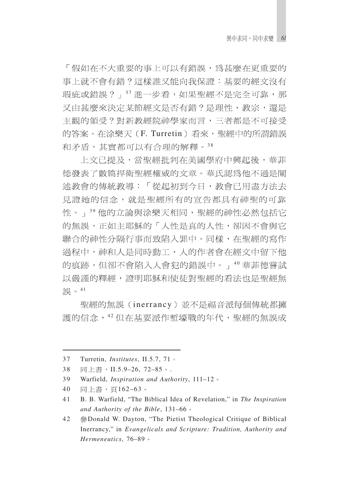「假如在不大重要的事上可以有錯誤,爲甚麼在更重要的 事上就不會有錯?這樣誰又能向我保證:基要的經文沒有 瑕疵或錯誤?」37 淮一步看,如果聖經不是完全可靠,那 又由甚麼來決定某節經文是否有錯?是理性、教宗,還是 主觀的領受?對新教經院神學家而言,三者都是不可接受 的答案。在涂樂天(F. Turretin)看來, 聖經中的所謂錯誤 和矛盾,其實都可以有合理的解釋。38

上文已提及,當聖經批判在美國學府中興起後,華菲 德發表了數篇捍衛聖經權威的文章。華氏認為他不過是闡 述教會的傳統教導:「從起初到今日,教會已用盡方法去 見證她的信念, 就是聖經所有的宣告都具有神聖的可靠 性。」39他的立論與涂樂天相同,聖經的神性必然包括它 的無誤,正如主耶穌的「人性是真的人性,卻因不會與它 聯合的神性分隔行事而致陷入罪中。同樣,在聖經的寫作 過程中,神和人是同時動工,人的作者會在經文中留下他 的痕跡,但卻不會陷入人會犯的錯誤中。」"壁菲德嘗試 以嚴謹的釋經,證明耶穌和使徒對聖經的看法也是聖經無 誤。41

聖經的無誤(inerrancy)並不是福音派每個傳統都擁 護的信念, 42 但在基要派作塹壕戰的年代, 聖經的無誤成

<sup>37</sup> Turretin, *Institutes*, II.5.7, 71

<sup>38</sup> 同上書, II.5.9-26, 72-85。.

<sup>39</sup> Warfield, *Inspiration and Authority*, 111–12

<sup>40</sup> 同上書,百162-63。

<sup>41</sup> B. B. Warfield, "The Biblical Idea of Revelation," in *The Inspiration and Authority of the Bible*, 131–66

<sup>42</sup> 參Donald W. Dayton, "The Pietist Theological Critique of Biblical Inerrancy," in *Evangelicals and Scripture: Tradition, Authority and Hermeneutics*, 76–89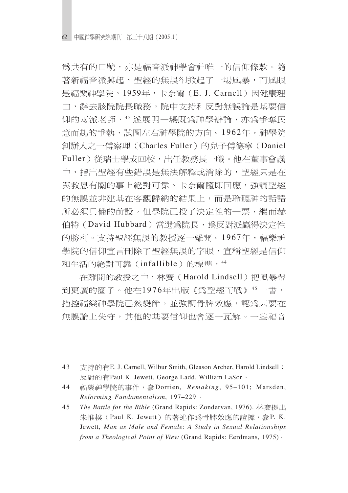爲共有的口號,亦是福音派神學會社唯一的信仰條款。隨 著新福音派興起,聖經的無誤卻掀起了一場風暴,而風眼 是福樂神學院。1959年,卡奈爾(E.J. Carnell)因健康理 由,辭去該院院長職務,院中支持和反對無誤論是基要信 仰的兩派老師, 43 遂展開一場既爲神學辯論, 亦爲爭奪民 意而起的爭執,試圖左右神學院的方向。1962年,神學院 創辦人之一傅察理 (Charles Fuller) 的兒子傅德寧 (Daniel Fuller) 從瑞十學成回校, 出任教務長一職。他在董事會議 中,指出聖經有些錯誤是無法解釋或消除的,聖經只是在 與救恩有關的事上絕對可靠。卡奈爾隨即回應,強調聖經 的無誤並非建基在客觀歸納的結果上,而是聆聽神的話語 所必須具備的前設。但學院已投了決定性的一票,繼而赫 伯特(David Hubbard)當選為院長,為反對派贏得決定性 的勝利。支持聖經無誤的教授逐一離開。1967年,福樂神 學院的信仰宣言刪除了聖經無誤的字眼,宣稱聖經是信仰 和生活的絕對可靠(infallible)的標準。44

在離開的教授之中, 林賽 (Harold Lindsell) 把風暴帶 到更廣的圈子。他在1976年出版《為聖經而戰》45一書, 指控福樂神學院已然變節,並強調骨牌效應,認為只要在 無誤論上失守,其他的基要信仰也會逐一瓦解。一些福音

<sup>43</sup> 支持的有E. J. Carnell, Wilbur Smith, Gleason Archer, Harold Lindsell; 反對的有Paul K. Jewett, George Ladd, William LaSor。

<sup>44</sup> 福樂神學院的事件,參Dorrien, Remaking, 95-101; Marsden, *Reforming Fundamentalism*, 197–229

<sup>45</sup> *The Battle for the Bible* (Grand Rapids: Zondervan, 1976). 朱惟樸(Paul K. Jewett)的著述作為骨牌效應的證據,參P. K. Jewett, *Man as Male and Female*: *A Study in Sexual Relationships from a Theological Point of View* (Grand Rapids: Eerdmans, 1975)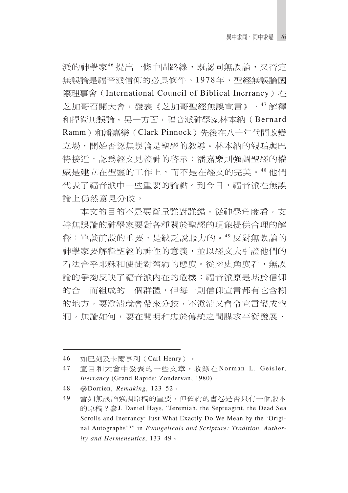派的神學家46提出一條中間路線,既認同無誤論,又否定 無誤論是福音派信仰的必具條件。1978年,聖經無誤論國 際理事會 (International Council of Biblical Inerrancy) 在 芝加哥召開大會,發表《芝加哥聖經無誤宣言》,47解釋 和捍衛無誤論。另一方面,福音派神學家林本納(Bernard Ramm)和潘嘉樂 (Clark Pinnock) 先後在八十年代間改變 立場,開始否認無誤論是聖經的教導。林本納的觀點與巴 特接近,認為經文見證神的啓示;潘嘉樂則強調聖經的權 威是建立在聖靈的工作上,而不是在經文的完美。48 他們 代表了福音派中一些重要的論點。到今日,福音派在無誤 論上仍然意見分歧。

本文的目的不是要衡量誰對誰錯。從神學角度看,支 持無誤論的神學家要對各種關於聖經的現象提供合理的解 釋;單談前設的重要,是缺乏說服力的。49反對無誤論的 神學家要解釋聖經的神性的意義,並以經文去引證他們的 看法合乎耶穌和使徒對舊約的熊度。從歷史角度看,無誤 論的爭拗反映了福音派內在的危機:福音派原是基於信仰 的合一而組成的一個群體,但每一則信仰宣言都有它含糊 的地方,要澄清就會帶來分歧,不澄清又會令宣言變成空 洞。無論如何,要在開明和忠於傳統之間謀求平衡發展,

<sup>46</sup> 如巴刻及卡爾亨利 (Carl Henry)。

<sup>47</sup> 官言和大會中發表的一些文章,收錄在Norman L. Geisler, *Inerrancy* (Grand Rapids: Zondervan, 1980)

<sup>48</sup> Dorrien, *Remaking*, 123–52

<sup>49</sup> 譬如無誤論強調原稿的重要,但舊約的書卷是否只有一個版本 的原稿?參J. Daniel Hays, "Jeremiah, the Septuagint, the Dead Sea Scrolls and Inerrancy: Just What Exactly Do We Mean by the 'Original Autographs'?" in *Evangelicals and Scripture: Tradition, Authority and Hermeneutics*, 133–49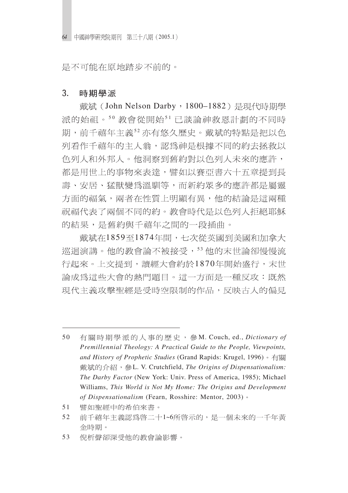是不可能在原地踏步不前的。

#### $3.$ 時期學派

戴斌 (John Nelson Darby, 1800-1882) 是現代時期學 派的始祖。50 教會從開始51已談論神救恩計劃的不同時 期,前千禧年主義52亦有悠久歷史。戴斌的特點是把以色 列看作千禧年的主人翁,認爲神是根據不同的約去拯救以 色列人和外邦人。他洞察到舊約對以色列人未來的應許, 都是用世上的事物來表達,譬如以賽亞書六十五章提到長 壽、安居、猛獸變爲溫馴等,而新約眾多的應許都是屬靈 方面的福氣,兩者在性質上明顯有異,他的結論是這兩種 祝福代表了兩個不同的約。教會時代是以色列人拒絕耶穌 的結果,是舊約與千禧年之間的一段插曲。

戴斌在1859至1874年間,七次從英國到美國和加拿大 巡迴演講。他的教會論不被接受, 53 他的末世論卻慢慢流 行起來。上文提到,讀經大會約於1870年開始盛行,末世 論成爲這些大會的熱門題目。這一方面是一種反攻:既然 現代主義攻擊聖經是受時空限制的作品,反映古人的偏見

- 譬如聖經中的希伯來書。 51
- 52 前千禧年主義認爲啓二十1~6所啓示的,是一個未來的一千年黃 金時期。
- 53 倪析聲卻深受他的教會論影響。

<sup>50</sup> 有關時期學派的人事的歷史,參M. Couch, ed., *Dictionary of Premillennial Theology: A Practical Guide to the People, Viewpoints, and History of Prophetic Studies* (Grand Rapids: Krugel, 1996) L. V. Crutchfield, *The Origins of Dispensationalism: The Darby Factor* (New York: Univ. Press of America, 1985); Michael Williams, *This World is Not My Home: The Origins and Development of Dispensationalism* (Fearn, Rosshire: Mentor, 2003)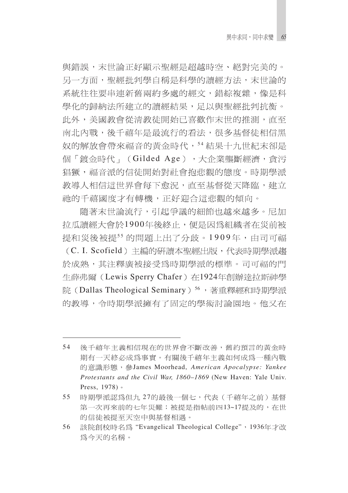與錯誤,末世論正好顯示聖經是超越時空、絕對完美的。 另一方面,聖經批判學自稱是科學的讀經方法,末世論的 系統往往要串連新舊兩約多處的經文,錯綜複雜,像是科 學化的歸納法所建立的讀經結果,足以與聖經批判抗衡。 此外,美國教會從清教徒開始已喜歡作末世的推測,直至 南北內戰,後千禧年是最流行的看法,很多基督徒相信黑 奴的解放會帶來福音的黃金時代, 54 結果十九世紀末卻是 個「鍍金時代」(Gilded Age),大企業壟斷經濟,貪污 猖獗,福音派的信徒開始對社會抱悲觀的熊度。時期學派 教導人相信這世界會每下愈況,直至基督從天降臨,建立 祂的千禧國度才有轉機,正好迎合這悲觀的傾向。

隨著末世論流行,引起爭議的細節也越來越多。尼加 拉瓜讀經大會於1900年後終止,便是因為組織者在災前被 提和災後被提55 的問題上出了分歧。1909年,由司可福 (C. I. Scofield) 主編的研讀本聖經出版,代表時期學派趨 於成熟,其注釋廣被接受爲時期學派的標準。司可福的門 生薛弗爾 (Lewis Sperry Chafer) 在1924年創辦達拉斯神學 院(Dallas Theological Seminary) 56,著重釋經和時期學派 的教導,令時期學派擁有了固定的學術討論園地。他又在

<sup>54</sup> 後千禧年主義相信現在的世界會不斷改善,舊約預言的黃金時 期有一天終必成爲事實。有關後千禧年主義如何成爲一種內戰 James Moorhead, *American Apocalypse: Yankee Protestants and the Civil War, 1860*–*1869* (New Haven: Yale Univ. Press, 1978) 。

<sup>55</sup> 時期學派認為但九 27的最後一個七,代表(千禧年之前)基督 第一次再來前的七年災難;被提是指帖前四13~17提及的,在世 的信徒被提至天空中與基督相遇。

<sup>56</sup> 該院創校時名為 "Evangelical Theological College", 1936年才改 爲今天的名稱。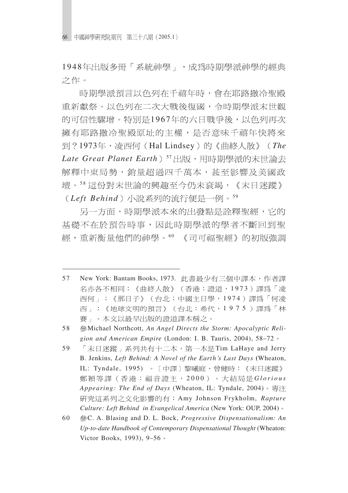**66** 中國神學硏究院期刊 第三十八期(2005.1

1948年出版多冊「系統神學」,成為時期學派神學的經典 之作。

時期學派預言以色列在千禧年時,會在耶路撒冷聖殿 重新獻祭。以色列在二次大戰後復國,令時期學派末世觀 的可信性驟增。特別是1967年的六日戰爭後,以色列再次 擁有耶路撒冷聖殿原址的主權,是否意味千禧年快將來 到?1973年,凌西何(Hal Lindsey)的《曲終人散》(The Late Great Planet Earth) 57 出版,用時期學派的末世論去 解釋中東局勢, 銷量詔渦四千萬本, 甚至影響及美國政 壇。58 這份對末世論的興趣至今仍未衰竭,《末日洣蹤》 (Left Behind) 小說系列的流行便是一例。<sup>59</sup>

另一方面,時期學派本來的出發點是詮釋聖經,它的 基礎不在於預告時事,因此時期學派的學者不斷回到聖 經,重新衡量他們的神學。60《司可福聖經》的初版強調

- 58 Michael Northcott, *An Angel Directs the Storm: Apocalyptic Religion and American Empire* (London: I. B. Tauris, 2004), 58–72
- 59 「末日迷蹤」系列共有十二本, 第一本是Tim LaHaye and Jerry B. Jenkins, *Left Behind: A Novel of the Earth's Last Days* **(**Wheaton, IL: Tyndale, 1995) 。 〔中譯〕黎曦庭、曾健時:《末日迷蹤》 鄭穎等譯(香港:福音證主, 2000)。大結局是Glorious *Appearing: The End of Days* (Wheaton, IL: Tyndale, 2004) Amy Johnson Frykholm, *Rapture Culture: Left Behind in Evangelical America* (New York: OUP, 2004)
- 60 C. A. Blasing and D. L. Bock, *Progressive Dispensationalism: An Up-to-date Handbook of Contemporary Dispensational Thought* (Wheaton: Victor Books, 1993), 9–56

<sup>57</sup> New York: Bantam Books, 1973. 此書最少有三個中譯本, 作者譯 名亦各不相同:《曲終人散》(香港:證道,1973)譯為「凌 西何」;《那日子》(台北:中國主日學,1974)譯為「何凌 西」;《地球文明的預言》(台北:希代,1975)譯為「林 賽」。本文以最早出版的證道譯本稱之。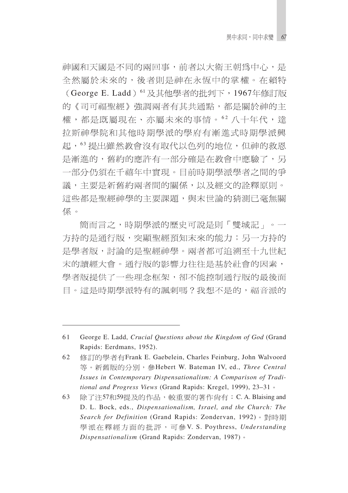神國和天國是不同的兩回事,前者以大衛王朝為中心,是 全然屬於未來的,後者則是神在永恆中的掌權。在賴特 (George E. Ladd) 61 及其他學者的批判下, 1967年修訂版 的《司可福聖經》強調兩者有其共通點,都是關於神的主 權,都是既屬現在、亦屬未來的事情。62八十年代,達 拉斯神學院和其他時期學派的學府有漸進式時期學派興 起,63提出雖然教會沒有取代以色列的地位,但神的救恩 是漸進的,舊約的應許有一部分確是在教會中應驗了,另 一部分仍須在千禧年中實現。目前時期學派學者之間的爭 議,主要是新舊約兩者間的關係,以及經文的詮釋原則。 這些都是聖經神學的主要課題,與末世論的猜測已毫無關 係。

簡而言之,時期學派的歷史可說是則「雙城記」。一 方持的是通行版,突顯聖經預知末來的能力;另一方持的 是學者版,討論的是聖經神學。兩者都可追溯至十九世紀 末的讀經大會。通行版的影響力往往是基於社會的因素, 學者版提供了一些理念框架,卻不能控制通行版的最後面 目。這是時期學派特有的諷刺嗎?我想不是的,福音派的

<sup>61</sup> George E. Ladd, *Crucial Questions about the Kingdom of God* (Grand Rapids: Eerdmans, 1952).

<sup>62</sup> 修訂的學者有Frank E. Gaebelein, Charles Feinburg, John Walvoord 等。新舊版的分別,參Hebert W. Bateman IV, ed., Three Central *Issues in Contemporary Dispensationalism: A Comparison of Traditional and Progress Views* (Grand Rapids: Kregel, 1999), 23–31

 $63$  除了注57和59提及的作品,較重要的著作尙有: C. A. Blaising and D. L. Bock, eds., *Dispensationalism, Israel, and the Church: The Search for Definition* (Grand Rapids: Zondervan, 1992) 學派在釋經方面的批評,可參V. S. Poythress, *Understanding Dispensationalism* (Grand Rapids: Zondervan, 1987)